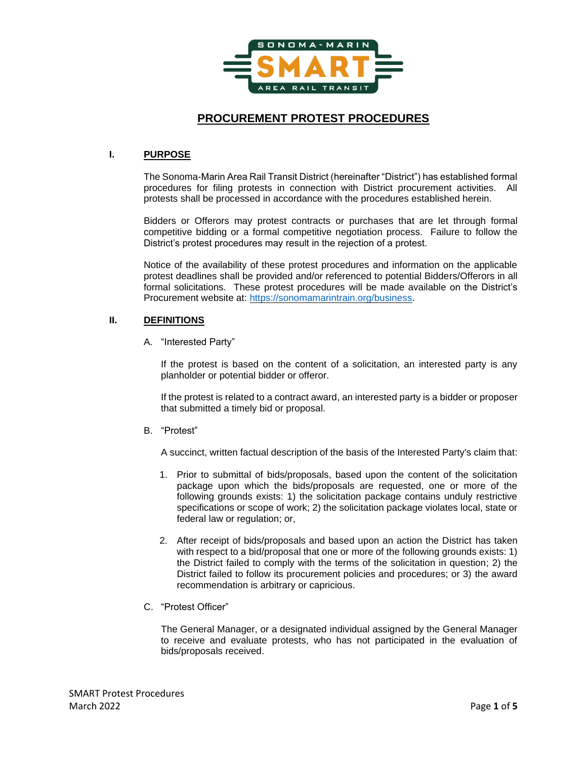

# **PROCUREMENT PROTEST PROCEDURES**

## **I. PURPOSE**

The Sonoma-Marin Area Rail Transit District (hereinafter "District") has established formal procedures for filing protests in connection with District procurement activities. All protests shall be processed in accordance with the procedures established herein.

Bidders or Offerors may protest contracts or purchases that are let through formal competitive bidding or a formal competitive negotiation process. Failure to follow the District's protest procedures may result in the rejection of a protest.

Notice of the availability of these protest procedures and information on the applicable protest deadlines shall be provided and/or referenced to potential Bidders/Offerors in all formal solicitations. These protest procedures will be made available on the District's Procurement website at: [https://sonomamarintrain.org/business.](https://sonomamarintrain.org/business)

## **II. DEFINITIONS**

A. "Interested Party"

If the protest is based on the content of a solicitation, an interested party is any planholder or potential bidder or offeror.

If the protest is related to a contract award, an interested party is a bidder or proposer that submitted a timely bid or proposal.

B. "Protest"

A succinct, written factual description of the basis of the Interested Party's claim that:

- 1. Prior to submittal of bids/proposals, based upon the content of the solicitation package upon which the bids/proposals are requested, one or more of the following grounds exists: 1) the solicitation package contains unduly restrictive specifications or scope of work; 2) the solicitation package violates local, state or federal law or regulation; or,
- 2. After receipt of bids/proposals and based upon an action the District has taken with respect to a bid/proposal that one or more of the following grounds exists: 1) the District failed to comply with the terms of the solicitation in question; 2) the District failed to follow its procurement policies and procedures; or 3) the award recommendation is arbitrary or capricious.
- C. "Protest Officer"

The General Manager, or a designated individual assigned by the General Manager to receive and evaluate protests, who has not participated in the evaluation of bids/proposals received.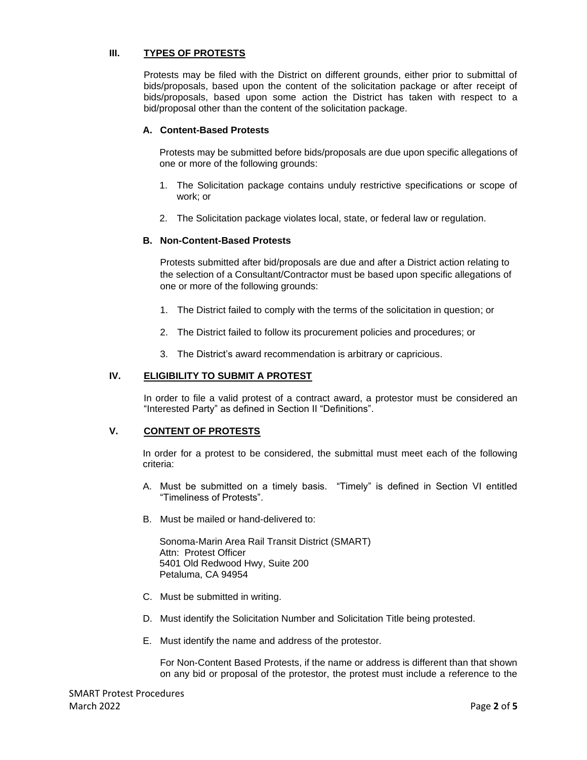## **III. TYPES OF PROTESTS**

Protests may be filed with the District on different grounds, either prior to submittal of bids/proposals, based upon the content of the solicitation package or after receipt of bids/proposals, based upon some action the District has taken with respect to a bid/proposal other than the content of the solicitation package.

## **A. Content-Based Protests**

Protests may be submitted before bids/proposals are due upon specific allegations of one or more of the following grounds:

- 1. The Solicitation package contains unduly restrictive specifications or scope of work; or
- 2. The Solicitation package violates local, state, or federal law or regulation.

## **B. Non-Content-Based Protests**

Protests submitted after bid/proposals are due and after a District action relating to the selection of a Consultant/Contractor must be based upon specific allegations of one or more of the following grounds:

- 1. The District failed to comply with the terms of the solicitation in question; or
- 2. The District failed to follow its procurement policies and procedures; or
- 3. The District's award recommendation is arbitrary or capricious.

## **IV. ELIGIBILITY TO SUBMIT A PROTEST**

In order to file a valid protest of a contract award, a protestor must be considered an "Interested Party" as defined in Section II "Definitions".

## **V. CONTENT OF PROTESTS**

In order for a protest to be considered, the submittal must meet each of the following criteria:

- A. Must be submitted on a timely basis. "Timely" is defined in Section VI entitled "Timeliness of Protests".
- B. Must be mailed or hand-delivered to:

Sonoma-Marin Area Rail Transit District (SMART) Attn: Protest Officer 5401 Old Redwood Hwy, Suite 200 Petaluma, CA 94954

- C. Must be submitted in writing.
- D. Must identify the Solicitation Number and Solicitation Title being protested.
- E. Must identify the name and address of the protestor.

For Non-Content Based Protests, if the name or address is different than that shown on any bid or proposal of the protestor, the protest must include a reference to the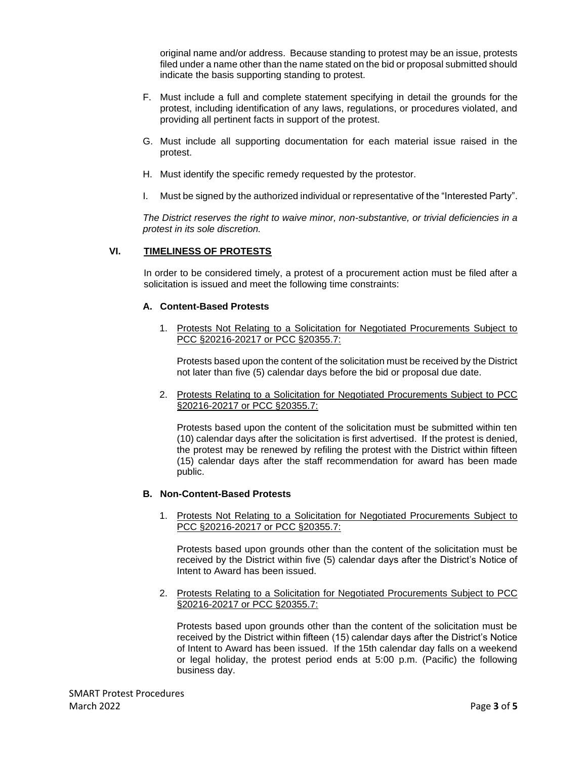original name and/or address. Because standing to protest may be an issue, protests filed under a name other than the name stated on the bid or proposal submitted should indicate the basis supporting standing to protest.

- F. Must include a full and complete statement specifying in detail the grounds for the protest, including identification of any laws, regulations, or procedures violated, and providing all pertinent facts in support of the protest.
- G. Must include all supporting documentation for each material issue raised in the protest.
- H. Must identify the specific remedy requested by the protestor.
- I. Must be signed by the authorized individual or representative of the "Interested Party".

*The District reserves the right to waive minor, non-substantive, or trivial deficiencies in a protest in its sole discretion.*

## **VI. TIMELINESS OF PROTESTS**

In order to be considered timely, a protest of a procurement action must be filed after a solicitation is issued and meet the following time constraints:

## **A. Content-Based Protests**

1. Protests Not Relating to a Solicitation for Negotiated Procurements Subject to PCC §20216-20217 or PCC §20355.7:

Protests based upon the content of the solicitation must be received by the District not later than five (5) calendar days before the bid or proposal due date.

2. Protests Relating to a Solicitation for Negotiated Procurements Subject to PCC §20216-20217 or PCC §20355.7:

Protests based upon the content of the solicitation must be submitted within ten (10) calendar days after the solicitation is first advertised. If the protest is denied, the protest may be renewed by refiling the protest with the District within fifteen (15) calendar days after the staff recommendation for award has been made public.

#### **B. Non-Content-Based Protests**

1. Protests Not Relating to a Solicitation for Negotiated Procurements Subject to PCC §20216-20217 or PCC §20355.7:

Protests based upon grounds other than the content of the solicitation must be received by the District within five (5) calendar days after the District's Notice of Intent to Award has been issued.

2. Protests Relating to a Solicitation for Negotiated Procurements Subject to PCC §20216-20217 or PCC §20355.7:

Protests based upon grounds other than the content of the solicitation must be received by the District within fifteen (15) calendar days after the District's Notice of Intent to Award has been issued. If the 15th calendar day falls on a weekend or legal holiday, the protest period ends at 5:00 p.m. (Pacific) the following business day.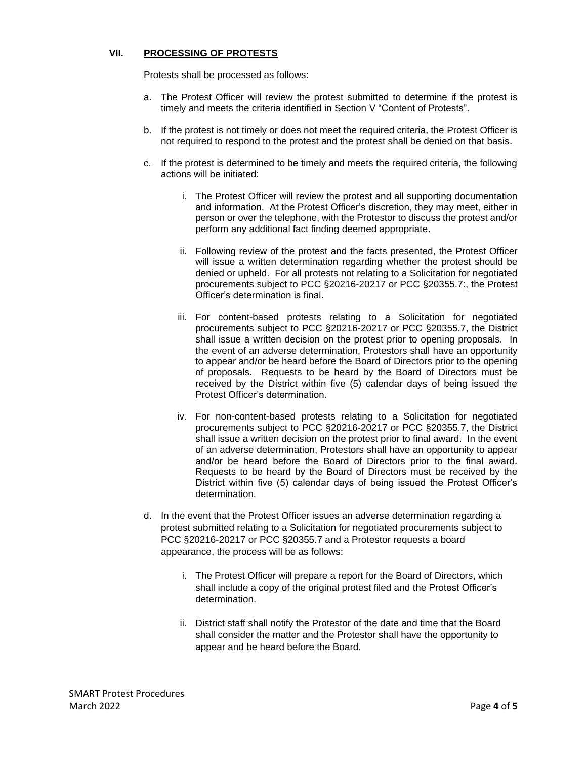## **VII. PROCESSING OF PROTESTS**

Protests shall be processed as follows:

- a. The Protest Officer will review the protest submitted to determine if the protest is timely and meets the criteria identified in Section V "Content of Protests".
- b. If the protest is not timely or does not meet the required criteria, the Protest Officer is not required to respond to the protest and the protest shall be denied on that basis.
- c. If the protest is determined to be timely and meets the required criteria, the following actions will be initiated:
	- i. The Protest Officer will review the protest and all supporting documentation and information. At the Protest Officer's discretion, they may meet, either in person or over the telephone, with the Protestor to discuss the protest and/or perform any additional fact finding deemed appropriate.
	- ii. Following review of the protest and the facts presented, the Protest Officer will issue a written determination regarding whether the protest should be denied or upheld. For all protests not relating to a Solicitation for negotiated procurements subject to PCC §20216-20217 or PCC §20355.7:, the Protest Officer's determination is final.
	- iii. For content-based protests relating to a Solicitation for negotiated procurements subject to PCC §20216-20217 or PCC §20355.7, the District shall issue a written decision on the protest prior to opening proposals. In the event of an adverse determination, Protestors shall have an opportunity to appear and/or be heard before the Board of Directors prior to the opening of proposals. Requests to be heard by the Board of Directors must be received by the District within five (5) calendar days of being issued the Protest Officer's determination.
	- iv. For non-content-based protests relating to a Solicitation for negotiated procurements subject to PCC §20216-20217 or PCC §20355.7, the District shall issue a written decision on the protest prior to final award. In the event of an adverse determination, Protestors shall have an opportunity to appear and/or be heard before the Board of Directors prior to the final award. Requests to be heard by the Board of Directors must be received by the District within five (5) calendar days of being issued the Protest Officer's determination.
- d. In the event that the Protest Officer issues an adverse determination regarding a protest submitted relating to a Solicitation for negotiated procurements subject to PCC §20216-20217 or PCC §20355.7 and a Protestor requests a board appearance, the process will be as follows:
	- i. The Protest Officer will prepare a report for the Board of Directors, which shall include a copy of the original protest filed and the Protest Officer's determination.
	- ii. District staff shall notify the Protestor of the date and time that the Board shall consider the matter and the Protestor shall have the opportunity to appear and be heard before the Board.